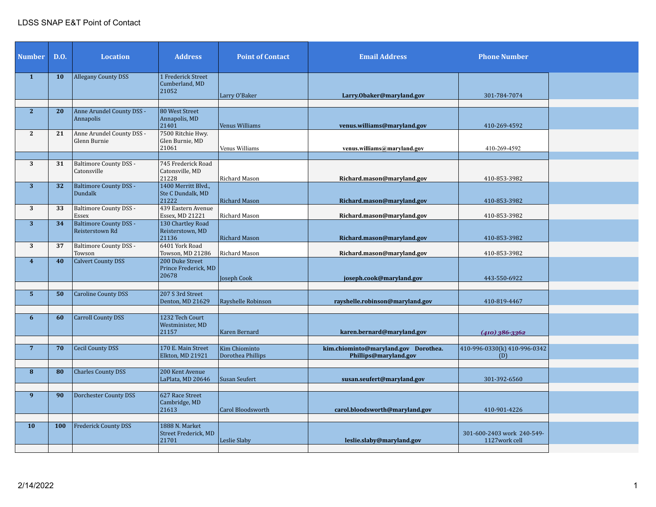## LDSS SNAP E&T Point of Contact

| <b>Number</b>           | <b>D.O.</b> | <b>Location</b>                                                           | <b>Address</b>                                                          | <b>Point of Contact</b>               | <b>Email Address</b>                                          | <b>Phone Number</b>                         |  |
|-------------------------|-------------|---------------------------------------------------------------------------|-------------------------------------------------------------------------|---------------------------------------|---------------------------------------------------------------|---------------------------------------------|--|
| $\mathbf{1}$            | 10          | <b>Allegany County DSS</b>                                                | 1 Frederick Street<br>Cumberland, MD<br>21052                           | Larry O'Baker                         | Larry.Obaker@maryland.gov                                     | 301-784-7074                                |  |
| 2 <sup>2</sup>          | 20          | Anne Arundel County DSS -<br>Annapolis                                    | 80 West Street<br>Annapolis, MD<br>21401                                | Venus Williams                        | venus.williams@maryland.gov                                   | 410-269-4592                                |  |
| $\mathbf{2}$            | 21          | Anne Arundel County DSS -<br>Glenn Burnie                                 | 7500 Ritchie Hwy.<br>Glen Burnie, MD<br>21061                           | Venus Williams                        | venus.williams@maryland.gov                                   | 410-269-4592                                |  |
| 3                       | 31          | Baltimore County DSS -<br>Catonsville                                     | 745 Frederick Road<br>Catonsville, MD<br>21228                          | Richard Mason                         | Richard.mason@maryland.gov                                    | 410-853-3982                                |  |
| $\overline{3}$<br>3     | 32<br>33    | <b>Baltimore County DSS -</b><br><b>Dundalk</b><br>Baltimore County DSS - | 1400 Merritt Blvd.,<br>Ste C Dundalk, MD<br>21222<br>439 Eastern Avenue | <b>Richard Mason</b>                  | Richard.mason@maryland.gov                                    | 410-853-3982                                |  |
| 3 <sup>2</sup>          | 34          | Essex<br>Baltimore County DSS -<br>Reisterstown Rd                        | Essex, MD 21221<br>130 Chartley Road<br>Reisterstown, MD                | Richard Mason                         | Richard.mason@maryland.gov                                    | 410-853-3982                                |  |
| 3                       | 37          | Baltimore County DSS -<br>Towson                                          | 21136<br>6401 York Road<br>Towson, MD 21286                             | <b>Richard Mason</b><br>Richard Mason | Richard.mason@maryland.gov<br>Richard.mason@maryland.gov      | 410-853-3982<br>410-853-3982                |  |
| $\overline{\mathbf{4}}$ | 40          | <b>Calvert County DSS</b>                                                 | 200 Duke Street<br>Prince Frederick, MD<br>20678                        | Joseph Cook                           | joseph.cook@maryland.gov                                      | 443-550-6922                                |  |
| 5 <sup>5</sup>          | 50          | <b>Caroline County DSS</b>                                                | 207 S 3rd Street<br>Denton, MD 21629                                    | Rayshelle Robinson                    | rayshelle.robinson@maryland.gov                               | 410-819-4467                                |  |
| 6                       | 60          | <b>Carroll County DSS</b>                                                 | 1232 Tech Court<br>Westminister, MD<br>21157                            | Karen Bernard                         | karen.bernard@maryland.gov                                    | $(410)$ 386-3362                            |  |
| $7\overline{ }$         | 70          | <b>Cecil County DSS</b>                                                   | 170 E. Main Street<br>Elkton, MD 21921                                  | Kim Chiominto<br>Dorothea Phillips    | kim.chiominto@maryland.gov Dorothea.<br>Phillips@maryland.gov | 410-996-0330(k) 410-996-0342<br>(D)         |  |
| 8                       | 80          | <b>Charles County DSS</b>                                                 | 200 Kent Avenue<br>LaPlata, MD 20646                                    | <b>Susan Seufert</b>                  | susan.seufert@maryland.gov                                    | 301-392-6560                                |  |
| 9                       | 90          | <b>Dorchester County DSS</b>                                              | 627 Race Street<br>Cambridge, MD<br>21613                               | Carol Bloodsworth                     | carol.bloodsworth@maryland.gov                                | 410-901-4226                                |  |
| <b>10</b>               | 100         | <b>Frederick County DSS</b>                                               | 1888 N. Market<br><b>Street Frederick, MD</b><br>21701                  | Leslie Slaby                          | leslie.slaby@maryland.gov                                     | 301-600-2403 work 240-549-<br>1127work cell |  |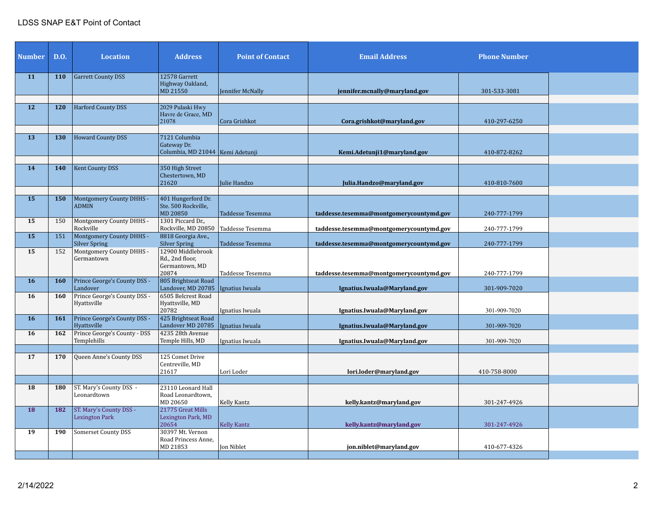## LDSS SNAP E&T Point of Contact

| <b>Number</b> | <b>D.O.</b> | <b>Location</b>                                  | <b>Address</b>                                                     | <b>Point of Contact</b> | <b>Email Address</b>                    | <b>Phone Number</b> |  |
|---------------|-------------|--------------------------------------------------|--------------------------------------------------------------------|-------------------------|-----------------------------------------|---------------------|--|
| 11            | 110         | <b>Garrett County DSS</b>                        | 12578 Garrett<br>Highway Oakland,<br>MD 21550                      | Jennifer McNally        | jennifer.mcnally@maryland.gov           | 301-533-3081        |  |
| 12            | 120         | <b>Harford County DSS</b>                        | 2029 Pulaski Hwy<br>Havre de Grace, MD<br>21078                    | Cora Grishkot           | Cora.grishkot@maryland.gov              | 410-297-6250        |  |
| 13            | 130         | <b>Howard County DSS</b>                         | 7121 Columbia<br>Gateway Dr.<br>Columbia, MD 21044   Kemi Adetunji |                         | Kemi.Adetunji1@maryland.gov             | 410-872-8262        |  |
| 14            | 140         | <b>Kent County DSS</b>                           | 350 High Street<br>Chestertown, MD<br>21620                        | Julie Handzo            | Julia.Handzo@maryland.gov               | 410-810-7600        |  |
| 15            | 150         | Montgomery County DHHS -<br><b>ADMIN</b>         | 401 Hungerford Dr.<br>Ste. 500 Rockville,<br>MD 20850              | Taddesse Tesemma        | taddesse.tesemma@montgomerycountymd.gov | 240-777-1799        |  |
| 15            | 150         | Montgomery County DHHS -<br>Rockville            | 1301 Piccard Dr.,<br>Rockville, MD 20850                           | Taddesse Tesemma        | taddesse.tesemma@montgomerycountymd.gov | 240-777-1799        |  |
| 15            | 151         | Montgomery County DHHS -<br><b>Silver Spring</b> | 8818 Georgia Ave.,<br><b>Silver Spring</b>                         | Taddesse Tesemma        | taddesse.tesemma@montgomerycountymd.gov | 240-777-1799        |  |
| 15            | 152         | Montgomery County DHHS -<br>Germantown           | 12900 Middlebrook<br>Rd., 2nd floor.<br>Germantown, MD<br>20874    | Taddesse Tesemma        | taddesse.tesemma@montgomerycountymd.gov | 240-777-1799        |  |
| <b>16</b>     | <b>160</b>  | Prince George's County DSS -<br>Landover         | 805 Brightseat Road<br>Landover, MD 20785                          | Ignatius Iwuala         | Ignatius.Iwuala@Maryland.gov            | 301-909-7020        |  |
| 16            | 160         | Prince George's County DSS -<br>Hyattsville      | 6505 Belcrest Road<br>Hyattsville, MD<br>20782                     | Ignatius Iwuala         | Ignatius.Iwuala@Maryland.gov            | 301-909-7020        |  |
| 16            | 161         | Prince George's County DSS -<br>Hyattsville      | 425 Brightseat Road<br>Landover MD 20785                           | Ignatius Iwuala         | Ignatius.Iwuala@Maryland.gov            | 301-909-7020        |  |
| 16            | 162         | Prince George's County - DSS<br>Templehills      | 4235 28th Avenue<br>Temple Hills, MD                               | Ignatius Iwuala         | Ignatius.Iwuala@Maryland.gov            | 301-909-7020        |  |
| 17            | 170         | Queen Anne's County DSS                          | 125 Comet Drive<br>Centreville, MD<br>21617                        | Lori Loder              | lori.loder@maryland.gov                 | 410-758-8000        |  |
| 18            | 180         | ST. Mary's County DSS -<br>Leonardtown           | 23110 Leonard Hall<br>Road Leonardtown,<br>MD 20650                | <b>Kelly Kantz</b>      | kelly.kantz@maryland.gov                | 301-247-4926        |  |
| 18            | 182         | ST. Mary's County DSS -<br><b>Lexington Park</b> | 21775 Great Mills<br>Lexington Park, MD<br>20654                   | <b>Kelly Kantz</b>      | kelly.kantz@maryland.gov                | 301-247-4926        |  |
| 19            | 190         | <b>Somerset County DSS</b>                       | 30397 Mt. Vernon<br>Road Princess Anne,<br>MD 21853                | Jon Niblet              | jon.niblet@maryland.gov                 | 410-677-4326        |  |